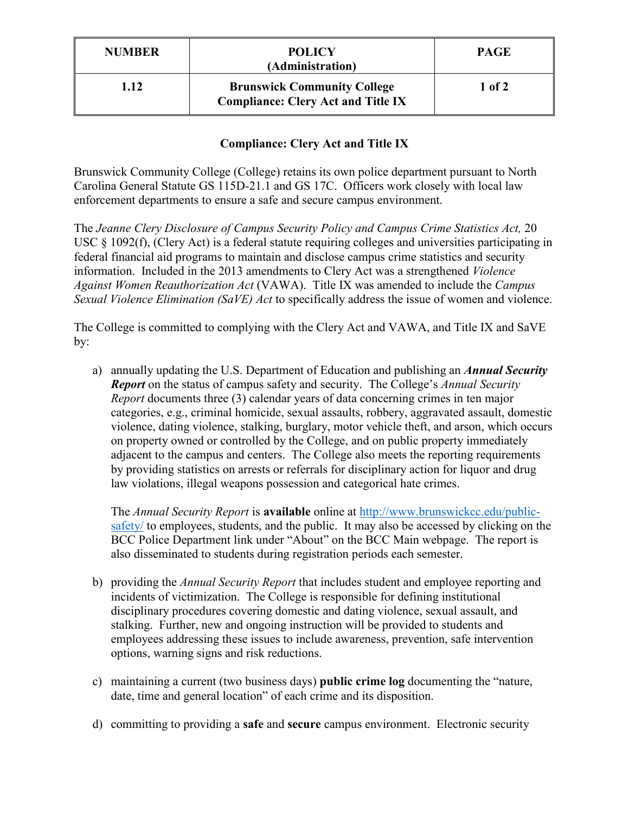| <b>NUMBER</b> | <b>POLICY</b><br>(Administration)                                               | <b>PAGE</b> |
|---------------|---------------------------------------------------------------------------------|-------------|
| 1.12          | <b>Brunswick Community College</b><br><b>Compliance: Clery Act and Title IX</b> | 1 of 2      |

## **Compliance: Clery Act and Title IX**

Brunswick Community College (College) retains its own police department pursuant to North Carolina General Statute GS 115D-21.1 and GS 17C. Officers work closely with local law enforcement departments to ensure a safe and secure campus environment.

The *Jeanne Clery Disclosure of Campus Security Policy and Campus Crime Statistics Act,* 20 USC § 1092(f), (Clery Act) is a federal statute requiring colleges and universities participating in federal financial aid programs to maintain and disclose campus crime statistics and security information. Included in the 2013 amendments to Clery Act was a strengthened *Violence Against Women Reauthorization Act* (VAWA). Title IX was amended to include the *Campus Sexual Violence Elimination (SaVE) Act* to specifically address the issue of women and violence.

The College is committed to complying with the Clery Act and VAWA, and Title IX and SaVE by:

a) annually updating the U.S. Department of Education and publishing an *Annual Security Report* on the status of campus safety and security. The College's *Annual Security Report* documents three (3) calendar years of data concerning crimes in ten major categories, e.g., criminal homicide, sexual assaults, robbery, aggravated assault, domestic violence, dating violence, stalking, burglary, motor vehicle theft, and arson, which occurs on property owned or controlled by the College, and on public property immediately adjacent to the campus and centers. The College also meets the reporting requirements by providing statistics on arrests or referrals for disciplinary action for liquor and drug law violations, illegal weapons possession and categorical hate crimes.

 The *Annual Security Report* is **available** online at [http://www.brunswickcc.edu/public](http://www.brunswickcc.edu/public-safety/)[safety/](http://www.brunswickcc.edu/public-safety/) to employees, students, and the public. It may also be accessed by clicking on the BCC Police Department link under "About" on the BCC Main webpage. The report is also disseminated to students during registration periods each semester.

- b) providing the *Annual Security Report* that includes student and employee reporting and incidents of victimization. The College is responsible for defining institutional disciplinary procedures covering domestic and dating violence, sexual assault, and stalking. Further, new and ongoing instruction will be provided to students and employees addressing these issues to include awareness, prevention, safe intervention options, warning signs and risk reductions.
- c) maintaining a current (two business days) **public crime log** documenting the "nature, date, time and general location" of each crime and its disposition.
- d) committing to providing a **safe** and **secure** campus environment. Electronic security